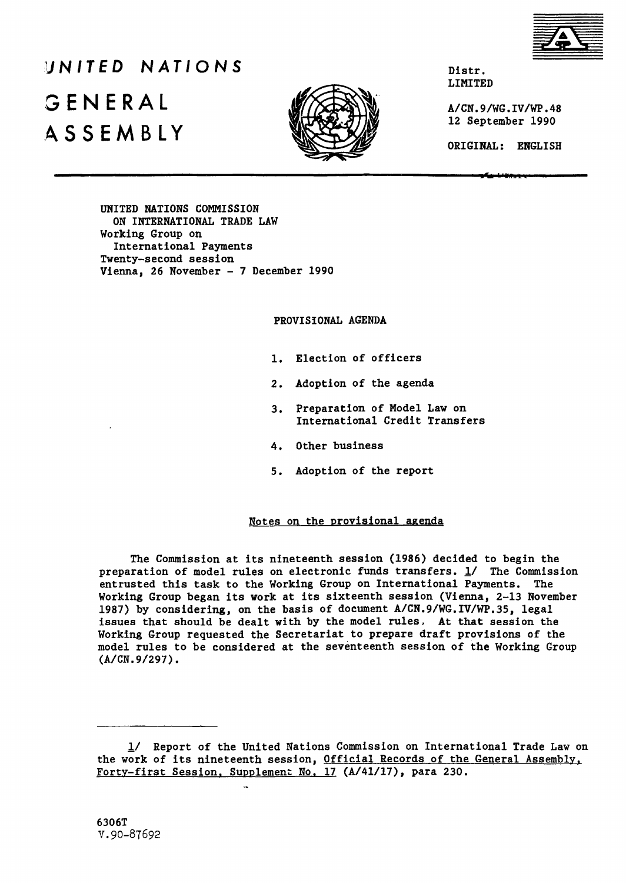

# *UNITED NATIONS* Distr. **GENERAL ASSEMBLY**



LIMITED

A/CN.9/WG.IV/WP.48 12 September 1990

ORIGINAL; ENGLISH

UNITED NATIONS COMMISSION ON INTERNATIONAL TRADE LAW Working Group on International Payments Twenty-second session Vienna, 26 November - 7 December 1990

## PROVISIONAL AGENDA

- 1. Election of officers
- 2. Adoption of the agenda
- 3. Preparation of Model Law on International Credit Transfers
- 4. Other business
- 5. Adoption of the report

### Notes on the provisional agenda

The Commission at its nineteenth session (1986) decided to begin the preparation of model rules on electronic funds transfers.  $\underline{1}$ / The Commission entrusted this task to the Working Group on International Payments. The Working Group began its work at its sixteenth session (Vienna, 2-13 November 1987) by considering, on the basis of document A/CN.9/WG.IV/WP.35, legal Issues that should be dealt with by the model rules. At that session the Working Group requested the Secretariat to prepare draft provisions of the model rules to be considered at the seventeenth session of the Working Group (A/CN.9/297).

<sup>1/</sup> Report of the United Nations Commission on International Trade Law on the work of its nineteenth session, Official Records of the General Assembly. Forty-first Session. Supplement No. 17 (A/41/17), para 230.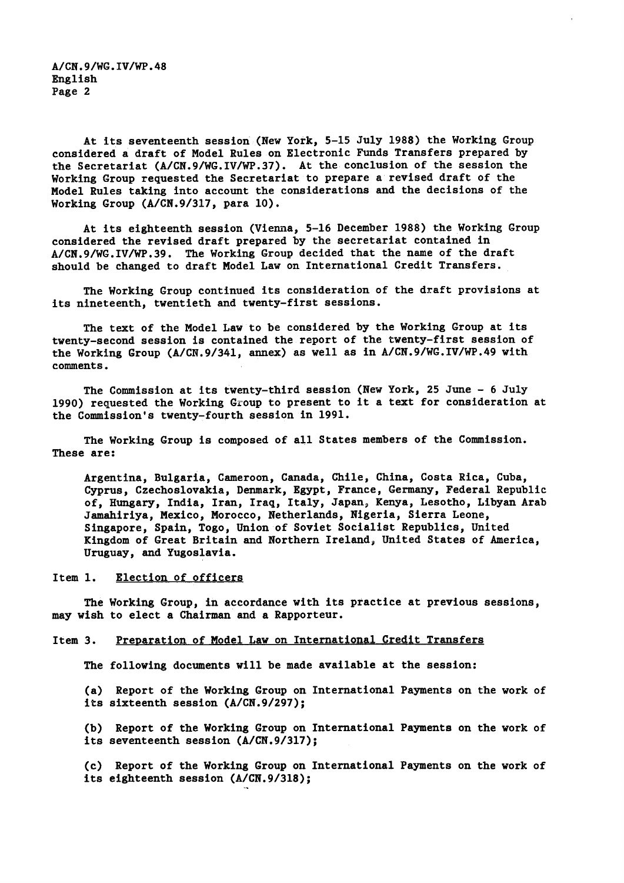A/CN.9/WG.IV/WP.48 English Page 2

At its seventeenth session (New York, 5-15 July 1988) the Working Group considered a draft of Model Rules on Electronic Funds Transfers prepared by the Secretariat (A/CN.9/WG.IV/WP.37). At the conclusion of the session the Working Group requested the Secretariat to prepare a revised draft of the Model Rules taking into account the considerations and the decisions of the Working Group (A/CN.9/317, para 10).

At its eighteenth session (Vienna, 5-16 December 1988) the Working Group considered the revised draft prepared by the secretariat contained in A/CN.9/WG.IV/WP.39. The Working Group decided that the name of the draft should be changed to draft Model Law on International Credit Transfers.

The Working Group continued its consideration of the draft provisions at its nineteenth, twentieth and twenty-first sessions.

The text of the Model Law to be considered by the Working Group at its twenty-second session is contained the report of the twenty-first session of the Working Group (A/CN.9/341, annex) as well as in A/CN.9/WG.IV/WP.49 with comments.

The Commission at its twenty-third session (New York, 25 June - 6 July 1990) requested the Working Group to present to it a text for consideration at the Commission's twenty-fourth session in 1991.

The Working Group is composed of all States members of the Commission. These are:

Argentina, Bulgaria, Cameroon, Canada, Chile, China, Costa Rica, Cuba, Cyprus, Czechoslovakia, Denmark, Egypt, France, Germany, Federal Republic of, Hungary, India, Iran, Iraq, Italy, Japan, Kenya, Lesotho, Libyan Arab Jamahiriya, Mexico, Morocco, Netherlands, Nigeria, Sierra Leone, Singapore, Spain, Togo, Union of Soviet Socialist Republics, United Kingdom of Great Britain and Northern Ireland, United States of America, Uruguay, and Yugoslavia.

Item 1. Election of officers

The Working Group, in accordance with its practice at previous sessions, may wish to elect a Chairman and a Rapporteur.

### Item 3. Preparation of Model Law on International Credit Transfers

The following documents will be made available at the session:

(a) Report of the Working Group on International Payments on the work of its sixteenth session (A/CN.9/297);

(b) Report of the Working Group on International Payments on the work of its seventeenth session (A/CN.9/317);

(c) Report of the Working Group on International Payments on the work of its eighteenth session (A/CN.9/318);